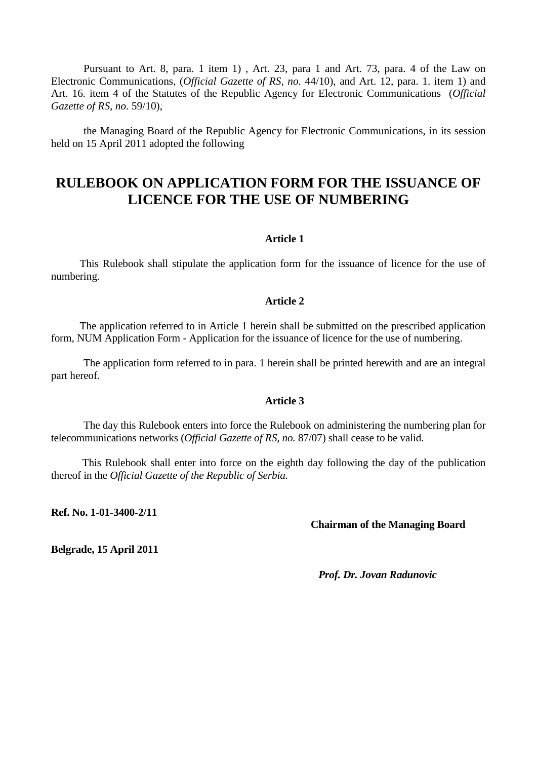Pursuant to Art. 8, para. 1 item 1) , Art. 23, para 1 and Art. 73, para. 4 of the Law on Electronic Communications, (*Official Gazette of RS, no.* 44/10), and Art. 12, para. 1. item 1) and Art. 16. item 4 of the Statutes of the Republic Agency for Electronic Communications (*Official Gazette of RS, no.* 59/10),

the Managing Board of the Republic Agency for Electronic Communications, in its session held on 15 April 2011 adopted the following

# **RULEBOOK ON APPLICATION FORM FOR THE ISSUANCE OF LICENCE FOR THE USE OF NUMBERING**

#### **Article 1**

 This Rulebook shall stipulate the application form for the issuance of licence for the use of numbering.

## **Article 2**

 The application referred to in Article 1 herein shall be submitted on the prescribed application form, NUM Application Form - Application for the issuance of licence for the use of numbering.

The application form referred to in para. 1 herein shall be printed herewith and are an integral part hereof.

## **Article 3**

The day this Rulebook enters into force the Rulebook on administering the numbering plan for telecommunications networks (*Official Gazette of RS, no.* 87/07) shall cease to be valid.

 This Rulebook shall enter into force on the eighth day following the day of the publication thereof in the *Official Gazette of the Republic of Serbia.* 

**Ref. No. 1-01-3400-2/11** 

#### **Chairman of the Managing Board**

**Belgrade, 15 April 2011**

*Prof. Dr. Jovan Radunovic*